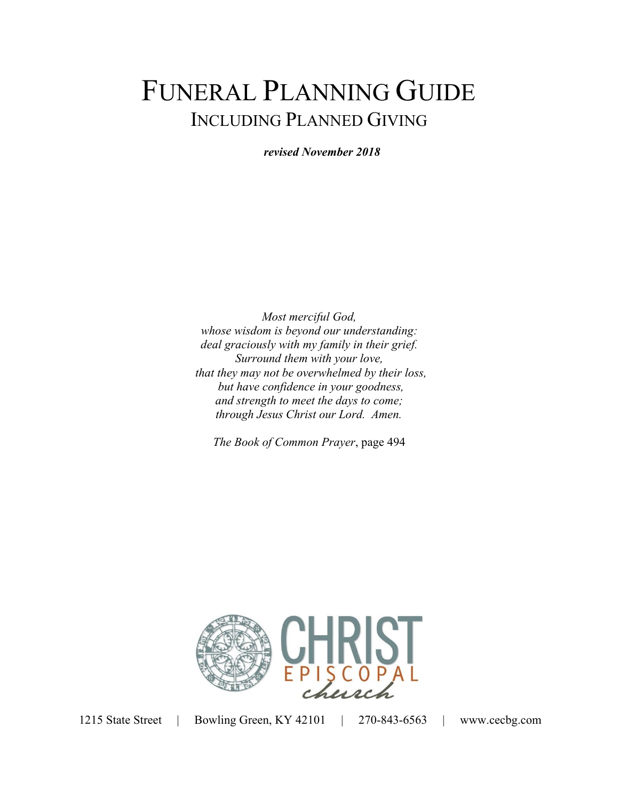# FUNERAL PLANNING GUIDE INCLUDING PLANNED GIVING

*revised November 2018* 

*Most merciful God, whose wisdom is beyond our understanding: deal graciously with my family in their grief. Surround them with your love, that they may not be overwhelmed by their loss, but have confidence in your goodness, and strength to meet the days to come; through Jesus Christ our Lord. Amen.* 

*The Book of Common Prayer*, page 494

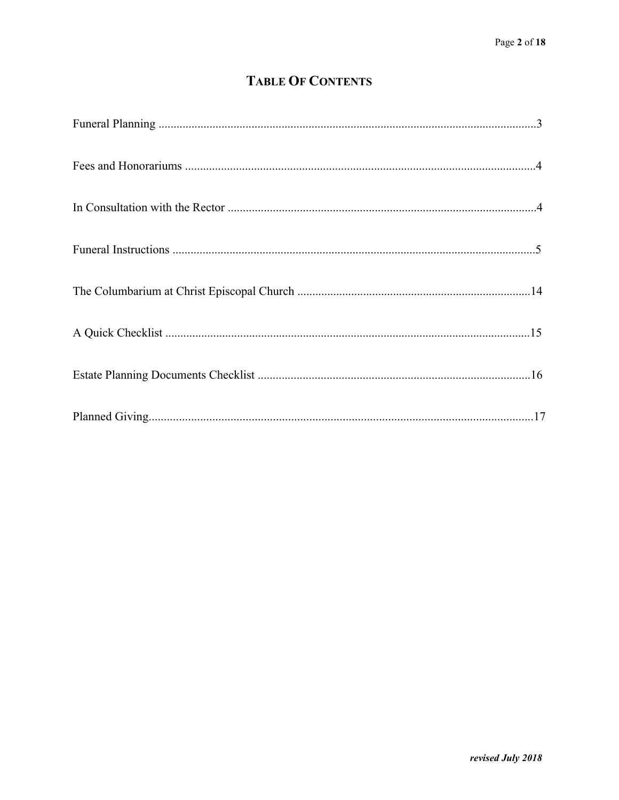## **TABLE OF CONTENTS**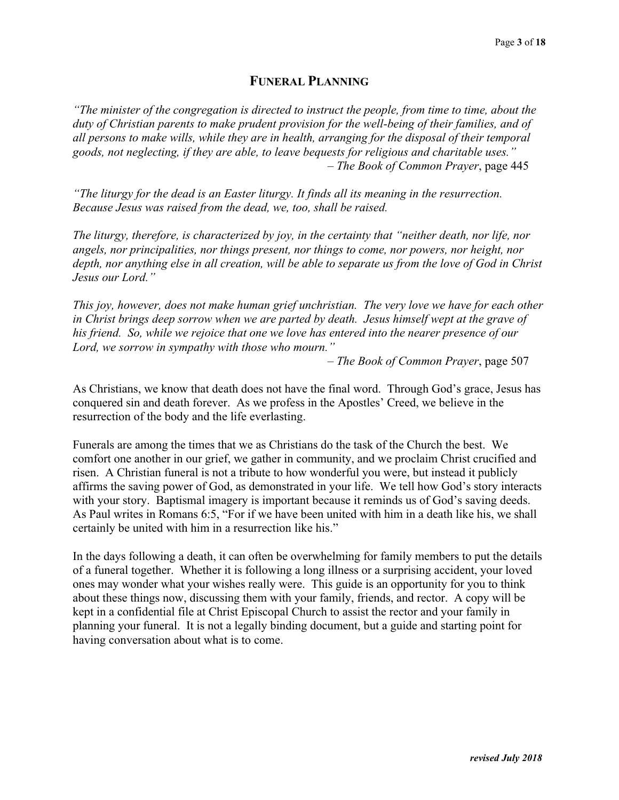## **FUNERAL PLANNING**

*"The minister of the congregation is directed to instruct the people, from time to time, about the duty of Christian parents to make prudent provision for the well-being of their families, and of all persons to make wills, while they are in health, arranging for the disposal of their temporal goods, not neglecting, if they are able, to leave bequests for religious and charitable uses."*  – *The Book of Common Prayer*, page 445

*"The liturgy for the dead is an Easter liturgy. It finds all its meaning in the resurrection. Because Jesus was raised from the dead, we, too, shall be raised.* 

*The liturgy, therefore, is characterized by joy, in the certainty that "neither death, nor life, nor angels, nor principalities, nor things present, nor things to come, nor powers, nor height, nor depth, nor anything else in all creation, will be able to separate us from the love of God in Christ Jesus our Lord."* 

*This joy, however, does not make human grief unchristian. The very love we have for each other in Christ brings deep sorrow when we are parted by death. Jesus himself wept at the grave of his friend. So, while we rejoice that one we love has entered into the nearer presence of our Lord, we sorrow in sympathy with those who mourn."* 

– *The Book of Common Prayer*, page 507

As Christians, we know that death does not have the final word. Through God's grace, Jesus has conquered sin and death forever. As we profess in the Apostles' Creed, we believe in the resurrection of the body and the life everlasting.

Funerals are among the times that we as Christians do the task of the Church the best. We comfort one another in our grief, we gather in community, and we proclaim Christ crucified and risen. A Christian funeral is not a tribute to how wonderful you were, but instead it publicly affirms the saving power of God, as demonstrated in your life. We tell how God's story interacts with your story. Baptismal imagery is important because it reminds us of God's saving deeds. As Paul writes in Romans 6:5, "For if we have been united with him in a death like his, we shall certainly be united with him in a resurrection like his."

In the days following a death, it can often be overwhelming for family members to put the details of a funeral together. Whether it is following a long illness or a surprising accident, your loved ones may wonder what your wishes really were. This guide is an opportunity for you to think about these things now, discussing them with your family, friends, and rector. A copy will be kept in a confidential file at Christ Episcopal Church to assist the rector and your family in planning your funeral. It is not a legally binding document, but a guide and starting point for having conversation about what is to come.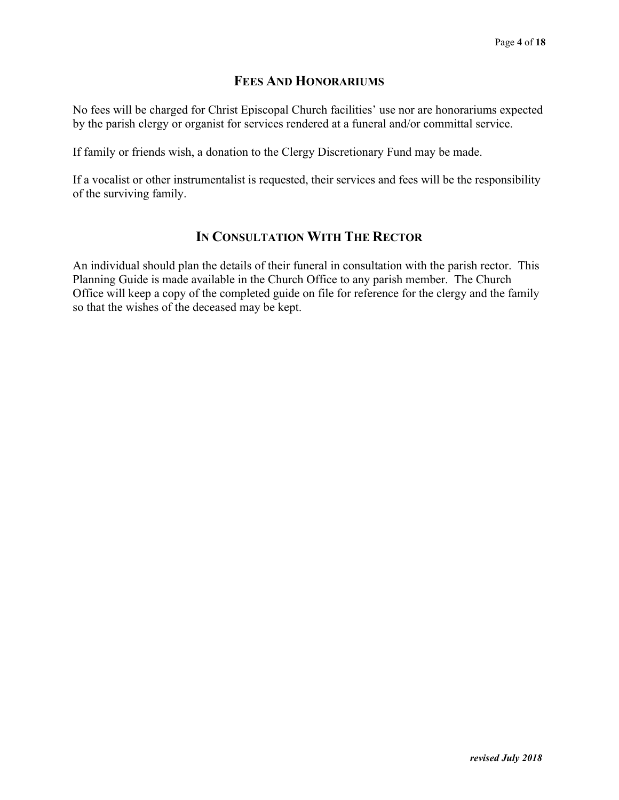## **FEES AND HONORARIUMS**

No fees will be charged for Christ Episcopal Church facilities' use nor are honorariums expected by the parish clergy or organist for services rendered at a funeral and/or committal service.

If family or friends wish, a donation to the Clergy Discretionary Fund may be made.

If a vocalist or other instrumentalist is requested, their services and fees will be the responsibility of the surviving family.

## **IN CONSULTATION WITH THE RECTOR**

An individual should plan the details of their funeral in consultation with the parish rector. This Planning Guide is made available in the Church Office to any parish member. The Church Office will keep a copy of the completed guide on file for reference for the clergy and the family so that the wishes of the deceased may be kept.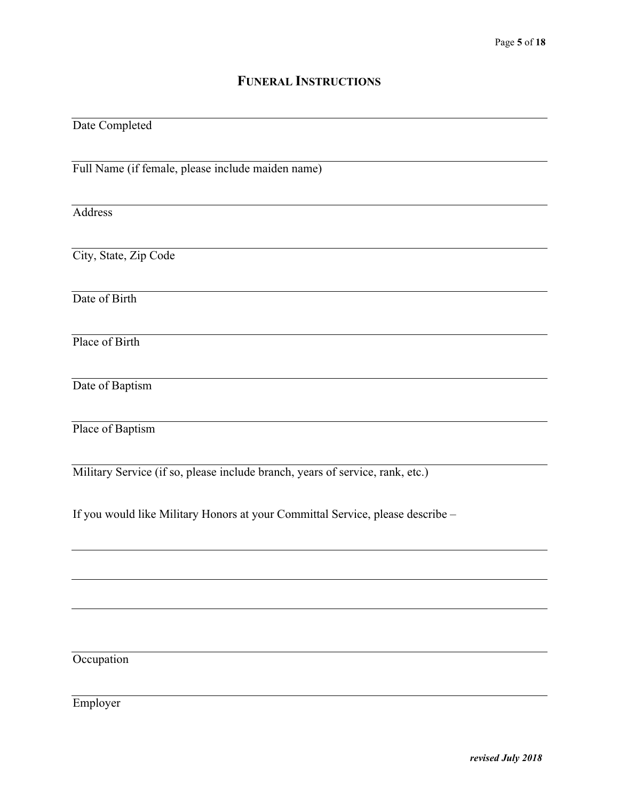## **FUNERAL INSTRUCTIONS**

## Date Completed

Full Name (if female, please include maiden name)

Address

City, State, Zip Code

Date of Birth

Place of Birth

Date of Baptism

Place of Baptism

Military Service (if so, please include branch, years of service, rank, etc.)

If you would like Military Honors at your Committal Service, please describe –

**Occupation** 

Employer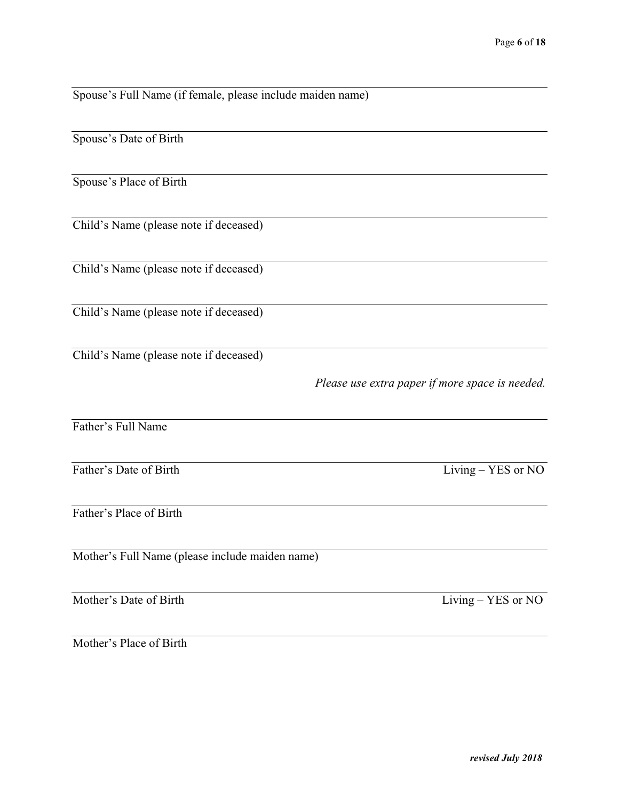| Spouse's Full Name (if female, please include maiden name) |                                                 |
|------------------------------------------------------------|-------------------------------------------------|
| Spouse's Date of Birth                                     |                                                 |
| Spouse's Place of Birth                                    |                                                 |
| Child's Name (please note if deceased)                     |                                                 |
| Child's Name (please note if deceased)                     |                                                 |
| Child's Name (please note if deceased)                     |                                                 |
| Child's Name (please note if deceased)                     |                                                 |
|                                                            | Please use extra paper if more space is needed. |
| Father's Full Name                                         |                                                 |
| Father's Date of Birth                                     | Living - YES or NO                              |
| Father's Place of Birth                                    |                                                 |
| Mother's Full Name (please include maiden name)            |                                                 |
| Mother's Date of Birth                                     | Living - YES or NO                              |

Mother's Place of Birth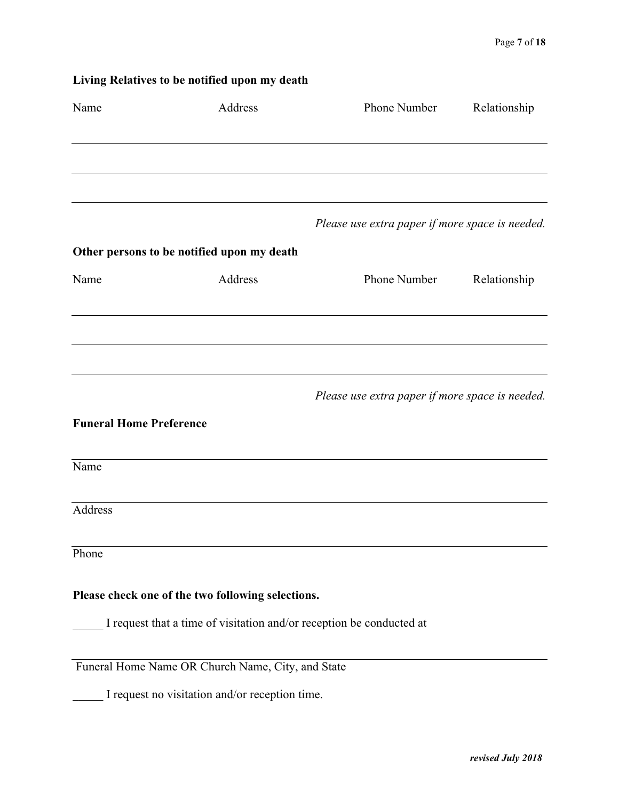|                                | Living Relatives to be notified upon my death     |                                                                      |              |
|--------------------------------|---------------------------------------------------|----------------------------------------------------------------------|--------------|
| Name                           | Address                                           | Phone Number                                                         | Relationship |
|                                |                                                   |                                                                      |              |
|                                |                                                   | Please use extra paper if more space is needed.                      |              |
|                                | Other persons to be notified upon my death        |                                                                      |              |
| Name                           | Address                                           | Phone Number                                                         | Relationship |
|                                |                                                   |                                                                      |              |
|                                |                                                   |                                                                      |              |
|                                |                                                   | Please use extra paper if more space is needed.                      |              |
| <b>Funeral Home Preference</b> |                                                   |                                                                      |              |
| Name                           |                                                   |                                                                      |              |
| Address                        |                                                   |                                                                      |              |
| Phone                          |                                                   |                                                                      |              |
|                                | Please check one of the two following selections. |                                                                      |              |
|                                |                                                   | I request that a time of visitation and/or reception be conducted at |              |
|                                | Funeral Home Name OR Church Name, City, and State |                                                                      |              |
|                                | I request no visitation and/or reception time.    |                                                                      |              |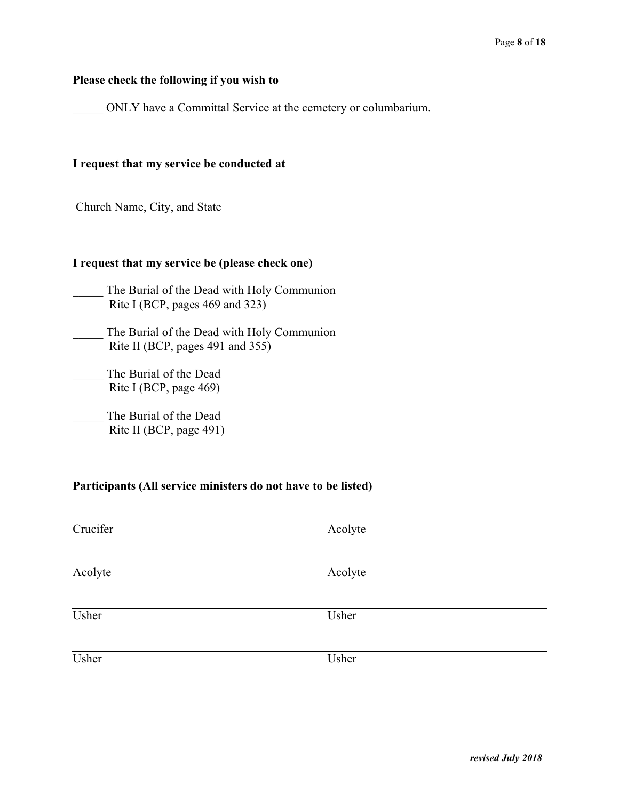#### **Please check the following if you wish to**

\_\_\_\_\_ ONLY have a Committal Service at the cemetery or columbarium.

#### **I request that my service be conducted at**

Church Name, City, and State

#### **I request that my service be (please check one)**

- The Burial of the Dead with Holy Communion Rite I (BCP, pages 469 and 323)
- \_\_\_\_\_ The Burial of the Dead with Holy Communion Rite II (BCP, pages 491 and 355)
- \_\_\_\_\_ The Burial of the Dead Rite I (BCP, page 469)
- \_\_\_\_\_ The Burial of the Dead Rite II (BCP, page 491)

#### **Participants (All service ministers do not have to be listed)**

| Crucifer | Acolyte |
|----------|---------|
| Acolyte  | Acolyte |
| Usher    | Usher   |
| Usher    | Usher   |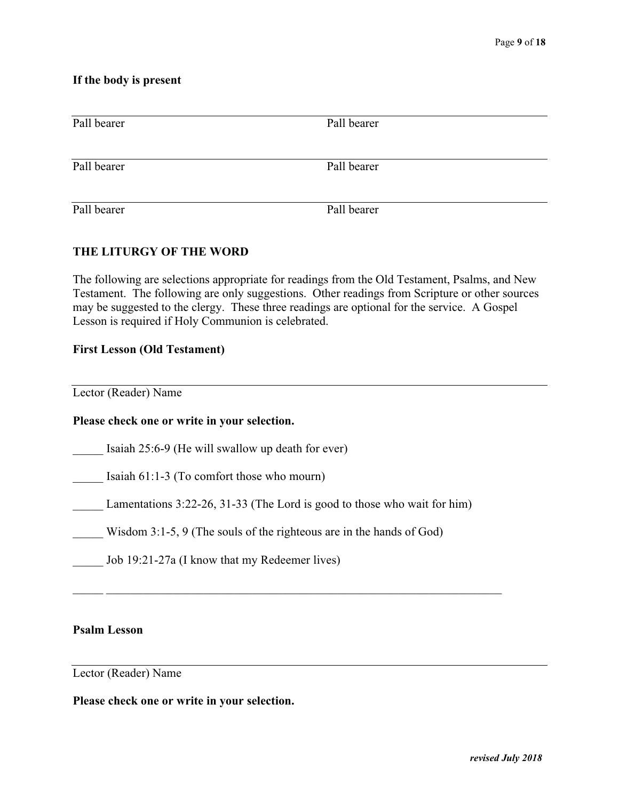#### **If the body is present**

| Pall bearer | Pall bearer |  |  |  |  |
|-------------|-------------|--|--|--|--|
| Pall bearer | Pall bearer |  |  |  |  |
| Pall bearer | Pall bearer |  |  |  |  |

#### **THE LITURGY OF THE WORD**

The following are selections appropriate for readings from the Old Testament, Psalms, and New Testament. The following are only suggestions. Other readings from Scripture or other sources may be suggested to the clergy. These three readings are optional for the service. A Gospel Lesson is required if Holy Communion is celebrated.

#### **First Lesson (Old Testament)**

Lector (Reader) Name

#### **Please check one or write in your selection.**

Isaiah 25:6-9 (He will swallow up death for ever)

Isaiah  $61:1-3$  (To comfort those who mourn)

Lamentations  $3:22-26, 31-33$  (The Lord is good to those who wait for him)

 $\mathcal{L}_\mathcal{L} = \mathcal{L}_\mathcal{L} = \mathcal{L}_\mathcal{L} = \mathcal{L}_\mathcal{L} = \mathcal{L}_\mathcal{L} = \mathcal{L}_\mathcal{L} = \mathcal{L}_\mathcal{L} = \mathcal{L}_\mathcal{L} = \mathcal{L}_\mathcal{L} = \mathcal{L}_\mathcal{L} = \mathcal{L}_\mathcal{L} = \mathcal{L}_\mathcal{L} = \mathcal{L}_\mathcal{L} = \mathcal{L}_\mathcal{L} = \mathcal{L}_\mathcal{L} = \mathcal{L}_\mathcal{L} = \mathcal{L}_\mathcal{L}$ 

- Wisdom 3:1-5, 9 (The souls of the righteous are in the hands of God)
- \_\_\_\_\_ Job 19:21-27a (I know that my Redeemer lives)

## **Psalm Lesson**

Lector (Reader) Name

#### **Please check one or write in your selection.**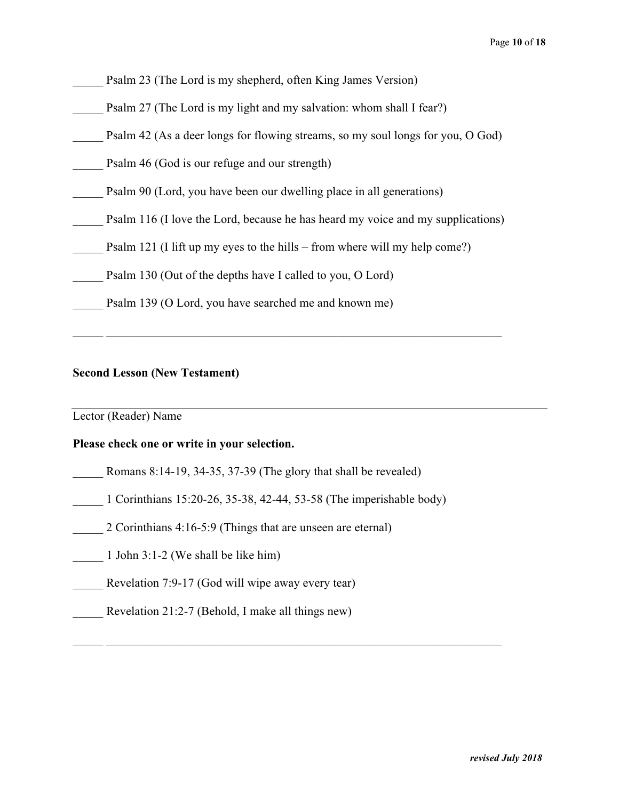|  |  |  |  | Psalm 23 (The Lord is my shepherd, often King James Version) |  |
|--|--|--|--|--------------------------------------------------------------|--|
|  |  |  |  |                                                              |  |

- Psalm 27 (The Lord is my light and my salvation: whom shall I fear?)
- Psalm 42 (As a deer longs for flowing streams, so my soul longs for you, O God)
- Psalm 46 (God is our refuge and our strength)
- Psalm 90 (Lord, you have been our dwelling place in all generations)
- Psalm 116 (I love the Lord, because he has heard my voice and my supplications)

 $\mathcal{L}_\text{max} = \mathcal{L}_\text{max} = \mathcal{L}_\text{max} = \mathcal{L}_\text{max} = \mathcal{L}_\text{max} = \mathcal{L}_\text{max} = \mathcal{L}_\text{max} = \mathcal{L}_\text{max} = \mathcal{L}_\text{max} = \mathcal{L}_\text{max} = \mathcal{L}_\text{max} = \mathcal{L}_\text{max} = \mathcal{L}_\text{max} = \mathcal{L}_\text{max} = \mathcal{L}_\text{max} = \mathcal{L}_\text{max} = \mathcal{L}_\text{max} = \mathcal{L}_\text{max} = \mathcal{$ 

- Psalm 121 (I lift up my eyes to the hills from where will my help come?)
- Psalm 130 (Out of the depths have I called to you, O Lord)
	- Psalm 139 (O Lord, you have searched me and known me)

#### **Second Lesson (New Testament)**

Lector (Reader) Name

#### **Please check one or write in your selection.**

- Romans 8:14-19, 34-35, 37-39 (The glory that shall be revealed)
- \_\_\_\_\_ 1 Corinthians 15:20-26, 35-38, 42-44, 53-58 (The imperishable body)

 $\mathcal{L}_\mathcal{L} = \mathcal{L}_\mathcal{L} = \mathcal{L}_\mathcal{L} = \mathcal{L}_\mathcal{L} = \mathcal{L}_\mathcal{L} = \mathcal{L}_\mathcal{L} = \mathcal{L}_\mathcal{L} = \mathcal{L}_\mathcal{L} = \mathcal{L}_\mathcal{L} = \mathcal{L}_\mathcal{L} = \mathcal{L}_\mathcal{L} = \mathcal{L}_\mathcal{L} = \mathcal{L}_\mathcal{L} = \mathcal{L}_\mathcal{L} = \mathcal{L}_\mathcal{L} = \mathcal{L}_\mathcal{L} = \mathcal{L}_\mathcal{L}$ 

- 2 Corinthians 4:16-5:9 (Things that are unseen are eternal)
- 1 John 3:1-2 (We shall be like him)
- Revelation 7:9-17 (God will wipe away every tear)
- Revelation 21:2-7 (Behold, I make all things new)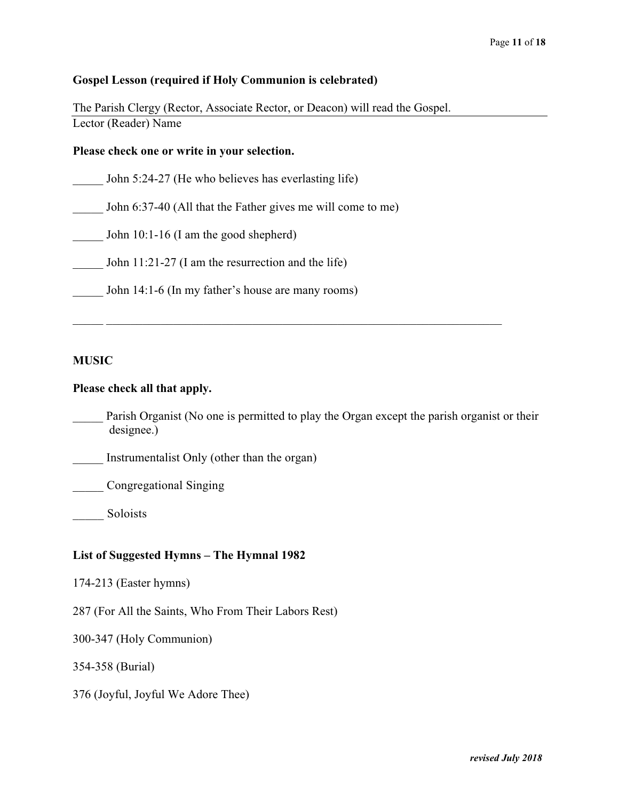#### **Gospel Lesson (required if Holy Communion is celebrated)**

The Parish Clergy (Rector, Associate Rector, or Deacon) will read the Gospel. Lector (Reader) Name

#### **Please check one or write in your selection.**

John 5:24-27 (He who believes has everlasting life)

John 6:37-40 (All that the Father gives me will come to me)

John  $10:1-16$  (I am the good shepherd)

John  $11:21-27$  (I am the resurrection and the life)

John 14:1-6 (In my father's house are many rooms)

#### **MUSIC**

#### **Please check all that apply.**

Parish Organist (No one is permitted to play the Organ except the parish organist or their designee.)

 $\mathcal{L}_\text{max} = \mathcal{L}_\text{max} = \mathcal{L}_\text{max} = \mathcal{L}_\text{max} = \mathcal{L}_\text{max} = \mathcal{L}_\text{max} = \mathcal{L}_\text{max} = \mathcal{L}_\text{max} = \mathcal{L}_\text{max} = \mathcal{L}_\text{max} = \mathcal{L}_\text{max} = \mathcal{L}_\text{max} = \mathcal{L}_\text{max} = \mathcal{L}_\text{max} = \mathcal{L}_\text{max} = \mathcal{L}_\text{max} = \mathcal{L}_\text{max} = \mathcal{L}_\text{max} = \mathcal{$ 

Instrumentalist Only (other than the organ)

\_\_\_\_\_ Congregational Singing

Soloists

#### **List of Suggested Hymns – The Hymnal 1982**

174-213 (Easter hymns)

287 (For All the Saints, Who From Their Labors Rest)

300-347 (Holy Communion)

354-358 (Burial)

376 (Joyful, Joyful We Adore Thee)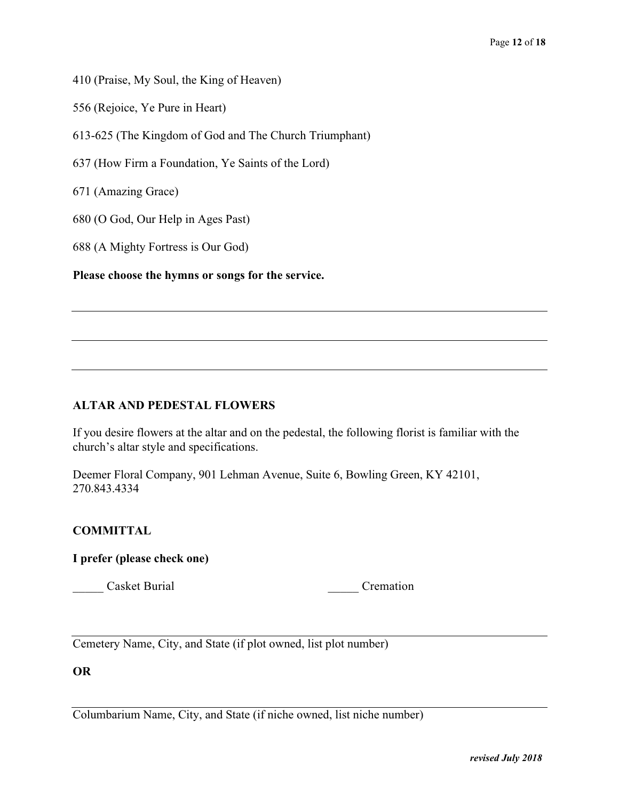410 (Praise, My Soul, the King of Heaven)

556 (Rejoice, Ye Pure in Heart)

613-625 (The Kingdom of God and The Church Triumphant)

637 (How Firm a Foundation, Ye Saints of the Lord)

671 (Amazing Grace)

680 (O God, Our Help in Ages Past)

688 (A Mighty Fortress is Our God)

**Please choose the hymns or songs for the service.** 

#### **ALTAR AND PEDESTAL FLOWERS**

If you desire flowers at the altar and on the pedestal, the following florist is familiar with the church's altar style and specifications.

Deemer Floral Company, 901 Lehman Avenue, Suite 6, Bowling Green, KY 42101, 270.843.4334

#### **COMMITTAL**

**I prefer (please check one)** 

Casket Burial **Cremation** 

Cemetery Name, City, and State (if plot owned, list plot number)

**OR** 

Columbarium Name, City, and State (if niche owned, list niche number)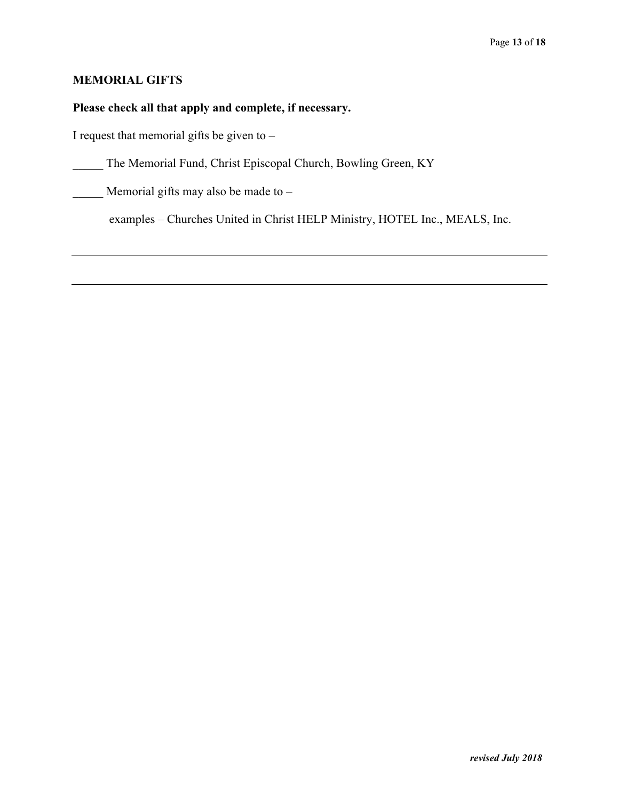## **MEMORIAL GIFTS**

## **Please check all that apply and complete, if necessary.**

I request that memorial gifts be given to –

\_\_\_\_\_ The Memorial Fund, Christ Episcopal Church, Bowling Green, KY

Memorial gifts may also be made to  $-$ 

examples – Churches United in Christ HELP Ministry, HOTEL Inc., MEALS, Inc.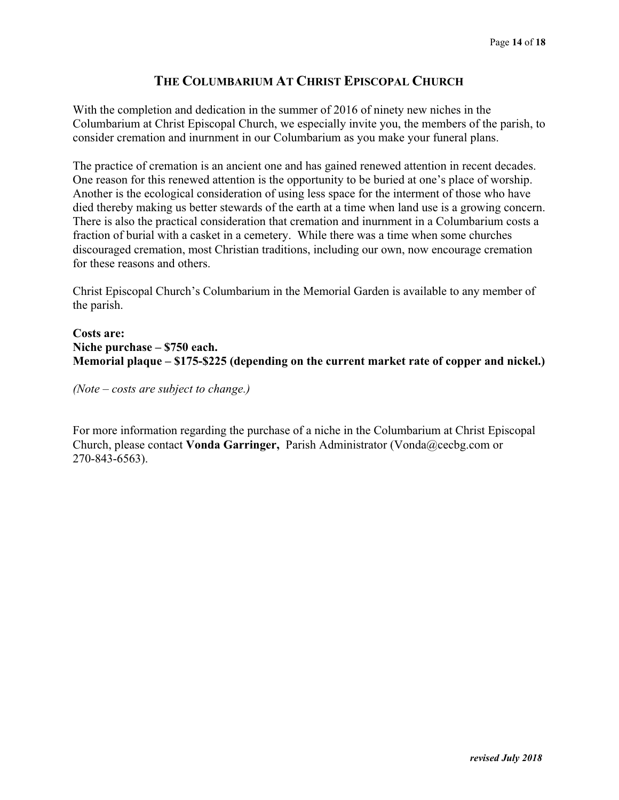## **THE COLUMBARIUM AT CHRIST EPISCOPAL CHURCH**

With the completion and dedication in the summer of 2016 of ninety new niches in the Columbarium at Christ Episcopal Church, we especially invite you, the members of the parish, to consider cremation and inurnment in our Columbarium as you make your funeral plans.

The practice of cremation is an ancient one and has gained renewed attention in recent decades. One reason for this renewed attention is the opportunity to be buried at one's place of worship. Another is the ecological consideration of using less space for the interment of those who have died thereby making us better stewards of the earth at a time when land use is a growing concern. There is also the practical consideration that cremation and inurnment in a Columbarium costs a fraction of burial with a casket in a cemetery. While there was a time when some churches discouraged cremation, most Christian traditions, including our own, now encourage cremation for these reasons and others.

Christ Episcopal Church's Columbarium in the Memorial Garden is available to any member of the parish.

## **Costs are: Niche purchase – \$750 each. Memorial plaque – \$175-\$225 (depending on the current market rate of copper and nickel.)**

*(Note – costs are subject to change.)* 

For more information regarding the purchase of a niche in the Columbarium at Christ Episcopal Church, please contact **Vonda Garringer,** Parish Administrator (Vonda@cecbg.com or 270-843-6563).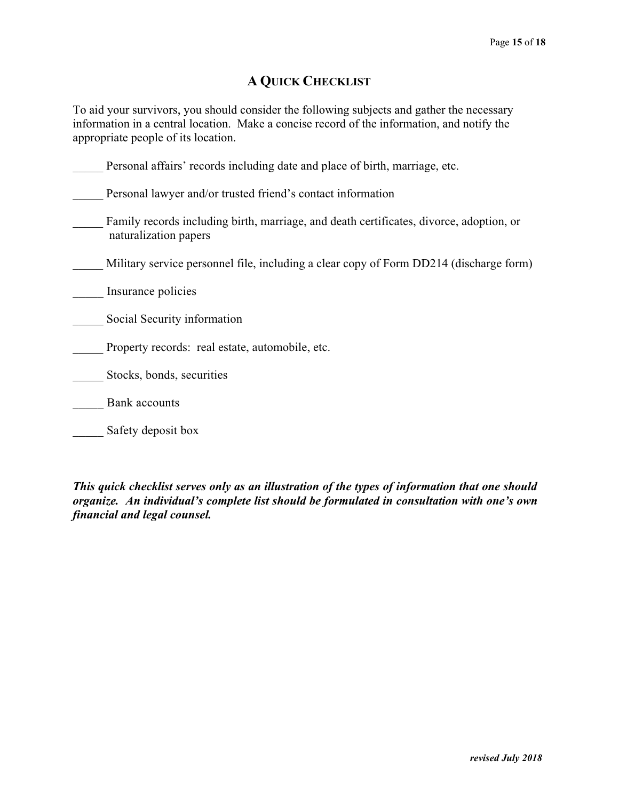## **A QUICK CHECKLIST**

To aid your survivors, you should consider the following subjects and gather the necessary information in a central location. Make a concise record of the information, and notify the appropriate people of its location.

| Personal affairs' records including date and place of birth, marriage, etc.                                      |
|------------------------------------------------------------------------------------------------------------------|
| Personal lawyer and/or trusted friend's contact information                                                      |
| Family records including birth, marriage, and death certificates, divorce, adoption, or<br>naturalization papers |
| Military service personnel file, including a clear copy of Form DD214 (discharge form)                           |
| Insurance policies                                                                                               |
| Social Security information                                                                                      |
| Property records: real estate, automobile, etc.                                                                  |
| Stocks, bonds, securities                                                                                        |
| <b>Bank</b> accounts                                                                                             |
| Safety deposit box                                                                                               |

*This quick checklist serves only as an illustration of the types of information that one should organize. An individual's complete list should be formulated in consultation with one's own financial and legal counsel.*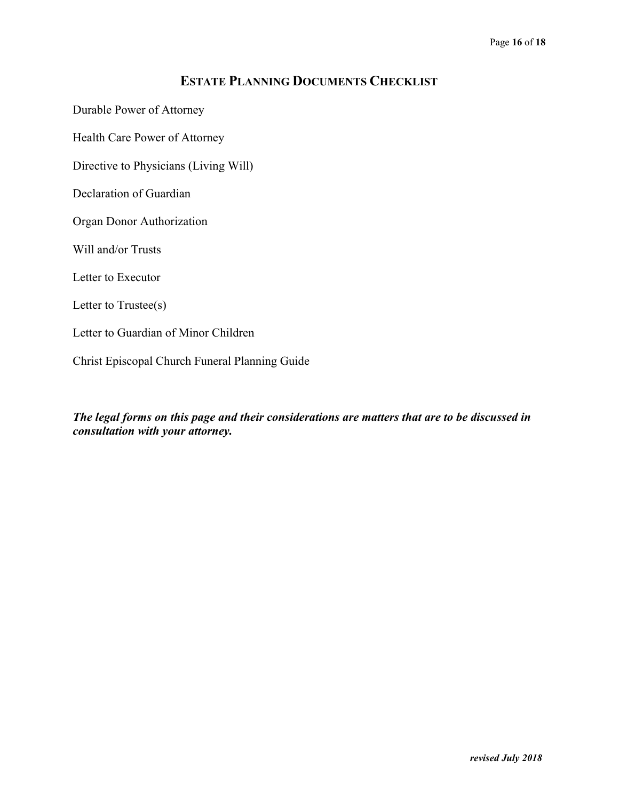## **ESTATE PLANNING DOCUMENTS CHECKLIST**

Durable Power of Attorney

Health Care Power of Attorney

Directive to Physicians (Living Will)

Declaration of Guardian

Organ Donor Authorization

Will and/or Trusts

Letter to Executor

Letter to Trustee(s)

Letter to Guardian of Minor Children

Christ Episcopal Church Funeral Planning Guide

*The legal forms on this page and their considerations are matters that are to be discussed in consultation with your attorney.*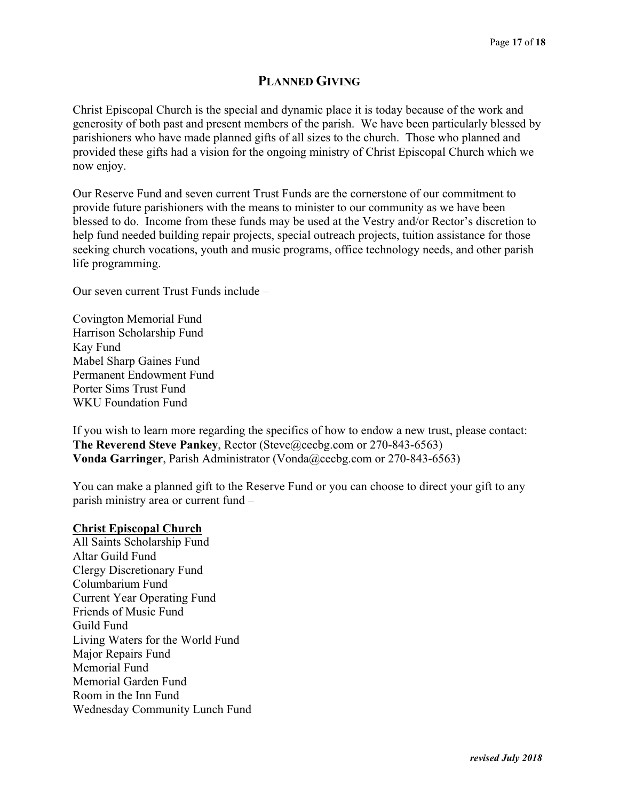## **PLANNED GIVING**

Christ Episcopal Church is the special and dynamic place it is today because of the work and generosity of both past and present members of the parish. We have been particularly blessed by parishioners who have made planned gifts of all sizes to the church. Those who planned and provided these gifts had a vision for the ongoing ministry of Christ Episcopal Church which we now enjoy.

Our Reserve Fund and seven current Trust Funds are the cornerstone of our commitment to provide future parishioners with the means to minister to our community as we have been blessed to do. Income from these funds may be used at the Vestry and/or Rector's discretion to help fund needed building repair projects, special outreach projects, tuition assistance for those seeking church vocations, youth and music programs, office technology needs, and other parish life programming.

Our seven current Trust Funds include –

Covington Memorial Fund Harrison Scholarship Fund Kay Fund Mabel Sharp Gaines Fund Permanent Endowment Fund Porter Sims Trust Fund WKU Foundation Fund

If you wish to learn more regarding the specifics of how to endow a new trust, please contact: **The Reverend Steve Pankey**, Rector (Steve@cecbg.com or 270-843-6563) **Vonda Garringer**, Parish Administrator (Vonda@cecbg.com or 270-843-6563)

You can make a planned gift to the Reserve Fund or you can choose to direct your gift to any parish ministry area or current fund –

#### **Christ Episcopal Church**

All Saints Scholarship Fund Altar Guild Fund Clergy Discretionary Fund Columbarium Fund Current Year Operating Fund Friends of Music Fund Guild Fund Living Waters for the World Fund Major Repairs Fund Memorial Fund Memorial Garden Fund Room in the Inn Fund Wednesday Community Lunch Fund